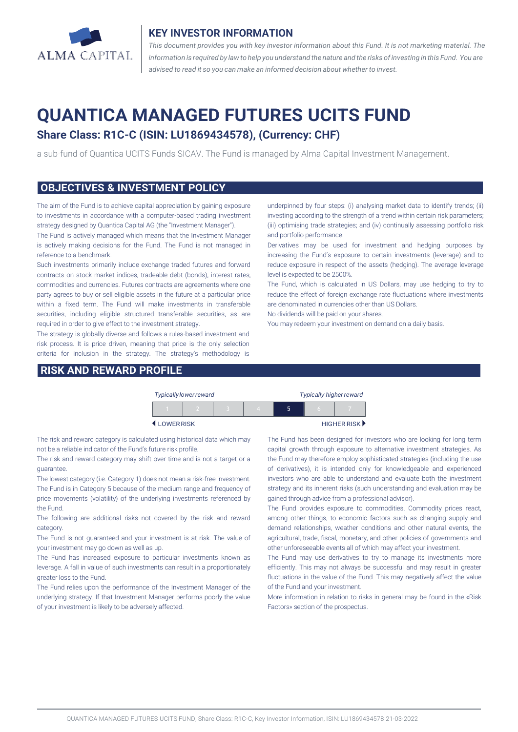

#### **KEY INVESTOR INFORMATION**

*This document provides you with key investor information about this Fund. It is not marketing material. The* information is required by law to help you understand the nature and the risks of investing in this Fund. You are *advised to read it so you can make an informed decision about whether to invest.*

# **QUANTICA MANAGED FUTURES UCITS FUND**

## **Share Class: R1C-C (ISIN: LU1869434578), (Currency: CHF)**

a sub-fund of Quantica UCITS Funds SICAV. The Fund is managed by Alma Capital Investment Management.

#### **OBJECTIVES & INVESTMENT POLICY**

The aim of the Fund is to achieve capital appreciation by gaining exposure to investments in accordance with a computer-based trading investment strategy designed by Quantica Capital AG (the "Investment Manager").

The Fund is actively managed which means that the Investment Manager is actively making decisions for the Fund. The Fund is not managed in reference to a benchmark.

Such investments primarily include exchange traded futures and forward contracts on stock market indices, tradeable debt (bonds), interest rates, commodities and currencies. Futures contracts are agreements where one party agrees to buy or sell eligible assets in the future at a particular price within a fixed term. The Fund will make investments in transferable securities, including eligible structured transferable securities, as are required in order to give effect to the investment strategy.

The strategy is globally diverse and follows a rules-based investment and risk process. It is price driven, meaning that price is the only selection criteria for inclusion in the strategy. The strategy's methodology is

### **RISK AND REWARD PROFILE**

underpinned by four steps: (i) analysing market data to identify trends; (ii) investing according to the strength of a trend within certain risk parameters; (iii) optimising trade strategies; and (iv) continually assessing portfolio risk and portfolio performance.

Derivatives may be used for investment and hedging purposes by increasing the Fund's exposure to certain investments (leverage) and to reduce exposure in respect of the assets (hedging). The average leverage level is expected to be 2500%.

The Fund, which is calculated in US Dollars, may use hedging to try to reduce the effect of foreign exchange rate fluctuations where investments are denominated in currencies other than US Dollars.

No dividends will be paid on your shares.

You may redeem your investment on demand on a daily basis.

|           | <b>Typically lower reward</b> |  | <b>Typically higher reward</b> |   |          |             |
|-----------|-------------------------------|--|--------------------------------|---|----------|-------------|
|           |                               |  |                                | ּ | $\Gamma$ |             |
| LOWERRISK |                               |  |                                |   |          | HIGHER RISK |

The risk and reward category is calculated using historical data which may not be a reliable indicator of the Fund's future risk profile.

The risk and reward category may shift over time and is not a target or a guarantee.

The lowest category (i.e. Category 1) does not mean a risk-free investment. The Fund is in Category 5 because of the medium range and frequency of price movements (volatility) of the underlying investments referenced by the Fund.

The following are additional risks not covered by the risk and reward category.

The Fund is not guaranteed and your investment is at risk. The value of your investment may go down as well as up.

The Fund has increased exposure to particular investments known as leverage. A fall in value of such investments can result in a proportionately greater loss to the Fund.

The Fund relies upon the performance of the Investment Manager of the underlying strategy. If that Investment Manager performs poorly the value of your investment is likely to be adversely affected.

The Fund has been designed for investors who are looking for long term capital growth through exposure to alternative investment strategies. As the Fund may therefore employ sophisticated strategies (including the use of derivatives), it is intended only for knowledgeable and experienced investors who are able to understand and evaluate both the investment strategy and its inherent risks (such understanding and evaluation may be gained through advice from a professional advisor).

The Fund provides exposure to commodities. Commodity prices react, among other things, to economic factors such as changing supply and demand relationships, weather conditions and other natural events, the agricultural, trade, fiscal, monetary, and other policies of governments and other unforeseeable events all of which may affect your investment.

The Fund may use derivatives to try to manage its investments more efficiently. This may not always be successful and may result in greater fluctuations in the value of the Fund. This may negatively affect the value of the Fund and your investment.

More information in relation to risks in general may be found in the «Risk Factors» section of the prospectus.